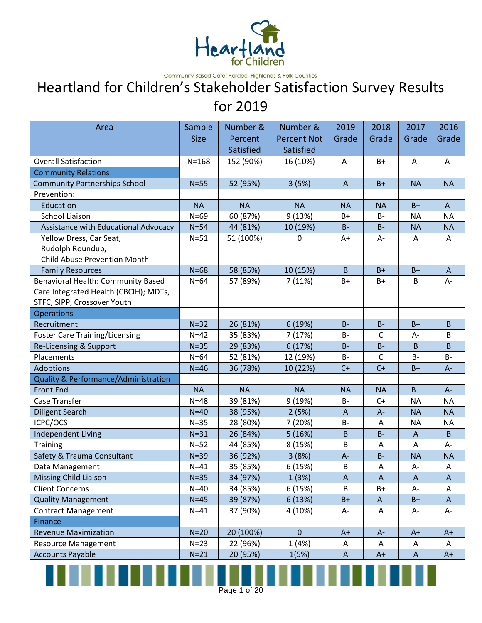

Community Based Care: Hardee, Highlands & Polk Counties

### Heartland for Children's Stakeholder Satisfaction Survey Results for 2019

| Area                                            | Sample      | Number &  | Number &           | 2019         | 2018         | 2017         | 2016         |
|-------------------------------------------------|-------------|-----------|--------------------|--------------|--------------|--------------|--------------|
|                                                 | <b>Size</b> | Percent   | <b>Percent Not</b> | Grade        | Grade        | Grade        | Grade        |
|                                                 |             | Satisfied | Satisfied          |              |              |              |              |
| <b>Overall Satisfaction</b>                     | $N = 168$   | 152 (90%) | 16 (10%)           | A-           | $B+$         | A-           | A-           |
| <b>Community Relations</b>                      |             |           |                    |              |              |              |              |
| <b>Community Partnerships School</b>            | $N=55$      | 52 (95%)  | 3(5%)              | $\mathsf{A}$ | $B+$         | <b>NA</b>    | <b>NA</b>    |
| Prevention:                                     |             |           |                    |              |              |              |              |
| Education                                       | <b>NA</b>   | <b>NA</b> | <b>NA</b>          | <b>NA</b>    | <b>NA</b>    | $B+$         | $A -$        |
| <b>School Liaison</b>                           | $N=69$      | 60 (87%)  | 9(13%)             | B+           | $B -$        | <b>NA</b>    | <b>NA</b>    |
| Assistance with Educational Advocacy            | $N=54$      | 44 (81%)  | 10 (19%)           | $B -$        | $B -$        | <b>NA</b>    | <b>NA</b>    |
| Yellow Dress, Car Seat,                         | $N=51$      | 51 (100%) | 0                  | A+           | A-           | A            | A            |
| Rudolph Roundup,                                |             |           |                    |              |              |              |              |
| <b>Child Abuse Prevention Month</b>             |             |           |                    |              |              |              |              |
| <b>Family Resources</b>                         | $N=68$      | 58 (85%)  | 10 (15%)           | $\mathsf B$  | $B+$         | $B+$         | $\mathsf{A}$ |
| Behavioral Health: Community Based              | $N=64$      | 57 (89%)  | 7(11%)             | B+           | B+           | B            | А-           |
| Care Integrated Health (CBCIH); MDTs,           |             |           |                    |              |              |              |              |
| STFC, SIPP, Crossover Youth                     |             |           |                    |              |              |              |              |
| <b>Operations</b>                               |             |           |                    |              |              |              |              |
| Recruitment                                     | $N=32$      | 26 (81%)  | 6 (19%)            | $B -$        | $B -$        | $B+$         | B            |
| <b>Foster Care Training/Licensing</b>           | $N=42$      | 35 (83%)  | 7(17%)             | $B -$        | $\mathsf{C}$ | $A -$        | B            |
| Re-Licensing & Support                          | $N=35$      | 29 (83%)  | 6 (17%)            | $B -$        | $B -$        | B            | B            |
| Placements                                      | $N=64$      | 52 (81%)  | 12 (19%)           | <b>B-</b>    | $\mathsf{C}$ | B-           | $B -$        |
| Adoptions                                       | $N=46$      | 36 (78%)  | 10 (22%)           | $C+$         | $C+$         | $B+$         | $A -$        |
| <b>Quality &amp; Performance/Administration</b> |             |           |                    |              |              |              |              |
| <b>Front End</b>                                | <b>NA</b>   | <b>NA</b> | <b>NA</b>          | <b>NA</b>    | <b>NA</b>    | $B+$         | $A -$        |
| Case Transfer                                   | $N=48$      | 39 (81%)  | 9 (19%)            | $B -$        | $C+$         | <b>NA</b>    | <b>NA</b>    |
| <b>Diligent Search</b>                          | $N=40$      | 38 (95%)  | 2(5%)              | $\mathsf{A}$ | $A -$        | <b>NA</b>    | <b>NA</b>    |
| ICPC/OCS                                        | $N = 35$    | 28 (80%)  | 7 (20%)            | <b>B-</b>    | A            | ΝA           | <b>NA</b>    |
| <b>Independent Living</b>                       | $N=31$      | 26 (84%)  | 5(16%)             | $\mathsf B$  | $B -$        | $\mathsf{A}$ | B            |
| Training                                        | $N=52$      | 44 (85%)  | 8 (15%)            | $\mathsf B$  | A            | Α            | A-           |
| Safety & Trauma Consultant                      | $N=39$      | 36 (92%)  | 3(8%)              | $A -$        | $B -$        | <b>NA</b>    | <b>NA</b>    |
| Data Management                                 | $N=41$      | 35 (85%)  | 6 (15%)            | В            | A            | А-           | A            |
| <b>Missing Child Liaison</b>                    | $N=35$      | 34 (97%)  | 1(3%)              | $\mathsf{A}$ | $\mathsf{A}$ | $\mathsf{A}$ | A            |
| <b>Client Concerns</b>                          | $N=40$      | 34 (85%)  | 6 (15%)            | B            | B+           | А-           | Α            |
| <b>Quality Management</b>                       | $N=45$      | 39 (87%)  | 6(13%)             | $B+$         | $A-$         | $B+$         | A            |
| <b>Contract Management</b>                      | $N=41$      | 37 (90%)  | 4 (10%)            | А-           | Α            | A-           | А-           |
| Finance                                         |             |           |                    |              |              |              |              |
| <b>Revenue Maximization</b>                     | $N=20$      | 20 (100%) | $\pmb{0}$          | $A+$         | $A -$        | $A+$         | $A+$         |
| <b>Resource Management</b>                      | $N=23$      | 22 (96%)  | 1(4%)              | Α            | Α            | Α            | Α            |
| <b>Accounts Payable</b>                         | $N=21$      | 20 (95%)  | 1(5%)              | A            | $A+$         | A            | $A+$         |

Page 1 of 20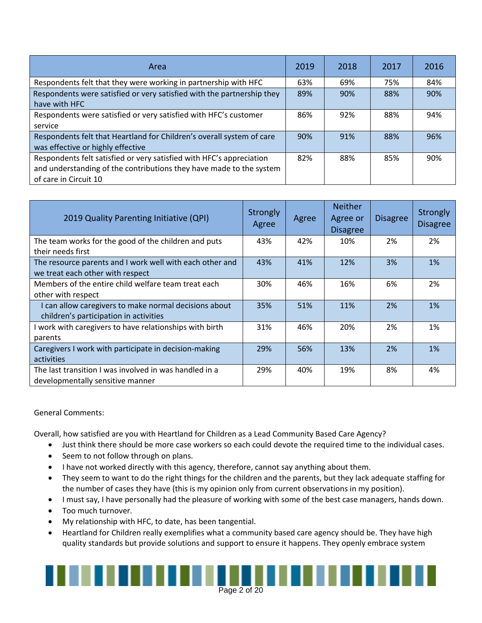| Area                                                                   |     | 2018 | 2017 | 2016 |
|------------------------------------------------------------------------|-----|------|------|------|
| Respondents felt that they were working in partnership with HFC        |     | 69%  | 75%  | 84%  |
| Respondents were satisfied or very satisfied with the partnership they | 89% | 90%  | 88%  | 90%  |
| have with HFC                                                          |     |      |      |      |
| Respondents were satisfied or very satisfied with HFC's customer       | 86% | 92%  | 88%  | 94%  |
| service                                                                |     |      |      |      |
| Respondents felt that Heartland for Children's overall system of care  | 90% | 91%  | 88%  | 96%  |
| was effective or highly effective                                      |     |      |      |      |
| Respondents felt satisfied or very satisfied with HFC's appreciation   | 82% | 88%  | 85%  | 90%  |
| and understanding of the contributions they have made to the system    |     |      |      |      |
| of care in Circuit 10                                                  |     |      |      |      |

| 2019 Quality Parenting Initiative (QPI)                                                         | Strongly<br>Agree | Agree | <b>Neither</b><br>Agree or<br><b>Disagree</b> | <b>Disagree</b> | Strongly<br><b>Disagree</b> |
|-------------------------------------------------------------------------------------------------|-------------------|-------|-----------------------------------------------|-----------------|-----------------------------|
| The team works for the good of the children and puts                                            | 43%               | 42%   | 10%                                           | 2%              | 2%                          |
| their needs first                                                                               |                   |       |                                               |                 |                             |
| The resource parents and I work well with each other and<br>we treat each other with respect    | 43%               | 41%   | 12%                                           | 3%              | 1%                          |
|                                                                                                 |                   |       |                                               |                 |                             |
| Members of the entire child welfare team treat each<br>other with respect                       | 30%               | 46%   | 16%                                           | 6%              | 2%                          |
| I can allow caregivers to make normal decisions about<br>children's participation in activities | 35%               | 51%   | 11%                                           | 2%              | 1%                          |
| I work with caregivers to have relationships with birth<br>parents                              | 31%               | 46%   | 20%                                           | 2%              | 1%                          |
|                                                                                                 |                   |       |                                               |                 |                             |
| Caregivers I work with participate in decision-making<br>activities                             | 29%               | 56%   | 13%                                           | 2%              | $1\%$                       |
| The last transition I was involved in was handled in a<br>developmentally sensitive manner      | 29%               | 40%   | 19%                                           | 8%              | 4%                          |

#### General Comments:

Overall, how satisfied are you with Heartland for Children as a Lead Community Based Care Agency?

- Just think there should be more case workers so each could devote the required time to the individual cases.
- Seem to not follow through on plans.
- I have not worked directly with this agency, therefore, cannot say anything about them.
- They seem to want to do the right things for the children and the parents, but they lack adequate staffing for the number of cases they have (this is my opinion only from current observations in my position).
- I must say, I have personally had the pleasure of working with some of the best case managers, hands down.
- Too much turnover.
- My relationship with HFC, to date, has been tangential.
- Heartland for Children really exemplifies what a community based care agency should be. They have high quality standards but provide solutions and support to ensure it happens. They openly embrace system

### Page 2 of 20<br>Page 2 of 20 . . . . . . . .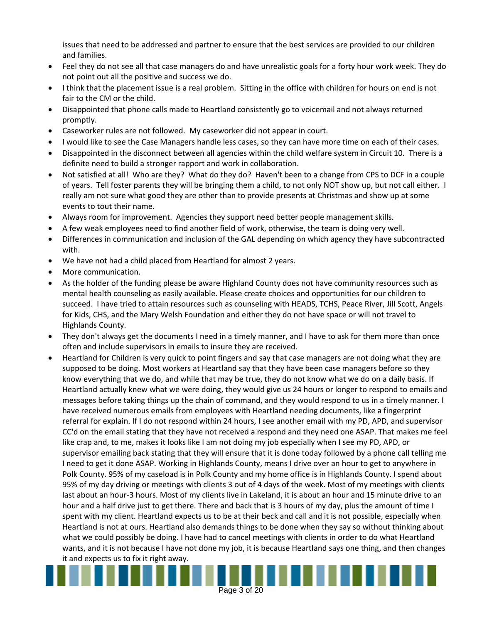issues that need to be addressed and partner to ensure that the best services are provided to our children and families.

- Feel they do not see all that case managers do and have unrealistic goals for a forty hour work week. They do not point out all the positive and success we do.
- I think that the placement issue is a real problem. Sitting in the office with children for hours on end is not fair to the CM or the child.
- Disappointed that phone calls made to Heartland consistently go to voicemail and not always returned promptly.
- Caseworker rules are not followed. My caseworker did not appear in court.
- I would like to see the Case Managers handle less cases, so they can have more time on each of their cases.
- Disappointed in the disconnect between all agencies within the child welfare system in Circuit 10. There is a definite need to build a stronger rapport and work in collaboration.
- Not satisfied at all! Who are they? What do they do? Haven't been to a change from CPS to DCF in a couple of years. Tell foster parents they will be bringing them a child, to not only NOT show up, but not call either. I really am not sure what good they are other than to provide presents at Christmas and show up at some events to tout their name.
- Always room for improvement. Agencies they support need better people management skills.
- A few weak employees need to find another field of work, otherwise, the team is doing very well.
- Differences in communication and inclusion of the GAL depending on which agency they have subcontracted with.
- We have not had a child placed from Heartland for almost 2 years.
- More communication.
- As the holder of the funding please be aware Highland County does not have community resources such as mental health counseling as easily available. Please create choices and opportunities for our children to succeed. I have tried to attain resources such as counseling with HEADS, TCHS, Peace River, Jill Scott, Angels for Kids, CHS, and the Mary Welsh Foundation and either they do not have space or will not travel to Highlands County.
- They don't always get the documents I need in a timely manner, and I have to ask for them more than once often and include supervisors in emails to insure they are received.
- Heartland for Children is very quick to point fingers and say that case managers are not doing what they are supposed to be doing. Most workers at Heartland say that they have been case managers before so they know everything that we do, and while that may be true, they do not know what we do on a daily basis. If Heartland actually knew what we were doing, they would give us 24 hours or longer to respond to emails and messages before taking things up the chain of command, and they would respond to us in a timely manner. I have received numerous emails from employees with Heartland needing documents, like a fingerprint referral for explain. If I do not respond within 24 hours, I see another email with my PD, APD, and supervisor CC'd on the email stating that they have not received a respond and they need one ASAP. That makes me feel like crap and, to me, makes it looks like I am not doing my job especially when I see my PD, APD, or supervisor emailing back stating that they will ensure that it is done today followed by a phone call telling me I need to get it done ASAP. Working in Highlands County, means I drive over an hour to get to anywhere in Polk County. 95% of my caseload is in Polk County and my home office is in Highlands County. I spend about 95% of my day driving or meetings with clients 3 out of 4 days of the week. Most of my meetings with clients last about an hour-3 hours. Most of my clients live in Lakeland, it is about an hour and 15 minute drive to an hour and a half drive just to get there. There and back that is 3 hours of my day, plus the amount of time I spent with my client. Heartland expects us to be at their beck and call and it is not possible, especially when Heartland is not at ours. Heartland also demands things to be done when they say so without thinking about what we could possibly be doing. I have had to cancel meetings with clients in order to do what Heartland wants, and it is not because I have not done my job, it is because Heartland says one thing, and then changes it and expects us to fix it right away.

Page 3 of  $20$ 

. . . .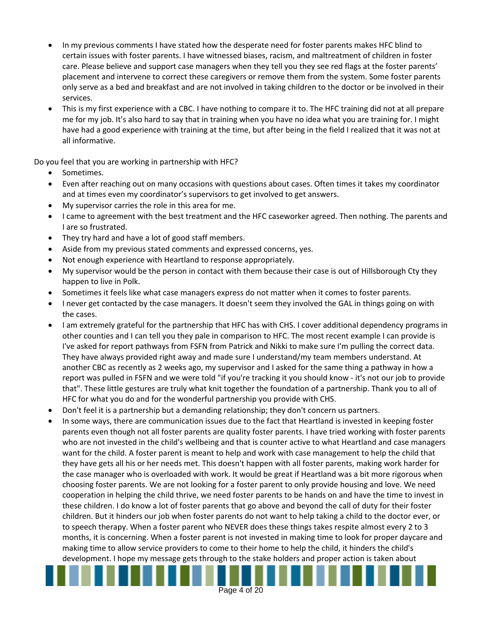- In my previous comments I have stated how the desperate need for foster parents makes HFC blind to certain issues with foster parents. I have witnessed biases, racism, and maltreatment of children in foster care. Please believe and support case managers when they tell you they see red flags at the foster parents' placement and intervene to correct these caregivers or remove them from the system. Some foster parents only serve as a bed and breakfast and are not involved in taking children to the doctor or be involved in their services.
- This is my first experience with a CBC. I have nothing to compare it to. The HFC training did not at all prepare me for my job. It's also hard to say that in training when you have no idea what you are training for. I might have had a good experience with training at the time, but after being in the field I realized that it was not at all informative.

Do you feel that you are working in partnership with HFC?

- Sometimes.
- Even after reaching out on many occasions with questions about cases. Often times it takes my coordinator and at times even my coordinator's supervisors to get involved to get answers.
- My supervisor carries the role in this area for me.
- I came to agreement with the best treatment and the HFC caseworker agreed. Then nothing. The parents and I are so frustrated.
- They try hard and have a lot of good staff members.
- Aside from my previous stated comments and expressed concerns, yes.
- Not enough experience with Heartland to response appropriately.
- My supervisor would be the person in contact with them because their case is out of Hillsborough Cty they happen to live in Polk.
- Sometimes it feels like what case managers express do not matter when it comes to foster parents.
- I never get contacted by the case managers. It doesn't seem they involved the GAL in things going on with the cases.
- I am extremely grateful for the partnership that HFC has with CHS. I cover additional dependency programs in other counties and I can tell you they pale in comparison to HFC. The most recent example I can provide is I've asked for report pathways from FSFN from Patrick and Nikki to make sure I'm pulling the correct data. They have always provided right away and made sure I understand/my team members understand. At another CBC as recently as 2 weeks ago, my supervisor and I asked for the same thing a pathway in how a report was pulled in FSFN and we were told "if you're tracking it you should know - it's not our job to provide that". These little gestures are truly what knit together the foundation of a partnership. Thank you to all of HFC for what you do and for the wonderful partnership you provide with CHS.
- Don't feel it is a partnership but a demanding relationship; they don't concern us partners.
- In some ways, there are communication issues due to the fact that Heartland is invested in keeping foster parents even though not all foster parents are quality foster parents. I have tried working with foster parents who are not invested in the child's wellbeing and that is counter active to what Heartland and case managers want for the child. A foster parent is meant to help and work with case management to help the child that they have gets all his or her needs met. This doesn't happen with all foster parents, making work harder for the case manager who is overloaded with work. It would be great if Heartland was a bit more rigorous when choosing foster parents. We are not looking for a foster parent to only provide housing and love. We need cooperation in helping the child thrive, we need foster parents to be hands on and have the time to invest in these children. I do know a lot of foster parents that go above and beyond the call of duty for their foster children. But it hinders our job when foster parents do not want to help taking a child to the doctor ever, or to speech therapy. When a foster parent who NEVER does these things takes respite almost every 2 to 3 months, it is concerning. When a foster parent is not invested in making time to look for proper daycare and making time to allow service providers to come to their home to help the child, it hinders the child's development. I hope my message gets through to the stake holders and proper action is taken about

Page 4 of 20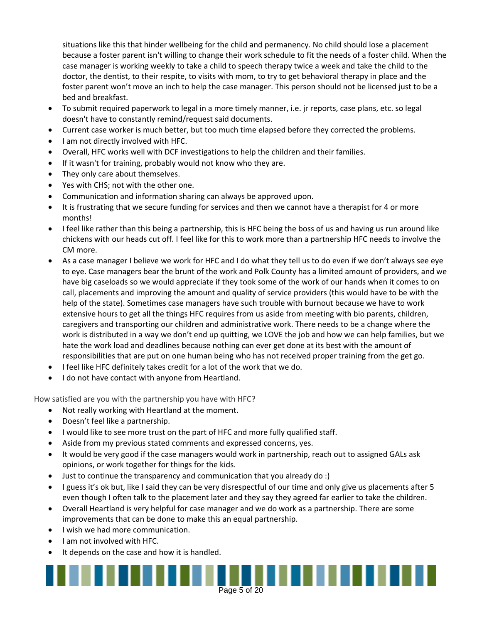situations like this that hinder wellbeing for the child and permanency. No child should lose a placement because a foster parent isn't willing to change their work schedule to fit the needs of a foster child. When the case manager is working weekly to take a child to speech therapy twice a week and take the child to the doctor, the dentist, to their respite, to visits with mom, to try to get behavioral therapy in place and the foster parent won't move an inch to help the case manager. This person should not be licensed just to be a bed and breakfast.

- To submit required paperwork to legal in a more timely manner, i.e. jr reports, case plans, etc. so legal doesn't have to constantly remind/request said documents.
- Current case worker is much better, but too much time elapsed before they corrected the problems.
- I am not directly involved with HFC.
- Overall, HFC works well with DCF investigations to help the children and their families.
- If it wasn't for training, probably would not know who they are.
- They only care about themselves.
- Yes with CHS; not with the other one.
- Communication and information sharing can always be approved upon.
- It is frustrating that we secure funding for services and then we cannot have a therapist for 4 or more months!
- I feel like rather than this being a partnership, this is HFC being the boss of us and having us run around like chickens with our heads cut off. I feel like for this to work more than a partnership HFC needs to involve the CM more.
- As a case manager I believe we work for HFC and I do what they tell us to do even if we don't always see eye to eye. Case managers bear the brunt of the work and Polk County has a limited amount of providers, and we have big caseloads so we would appreciate if they took some of the work of our hands when it comes to on call, placements and improving the amount and quality of service providers (this would have to be with the help of the state). Sometimes case managers have such trouble with burnout because we have to work extensive hours to get all the things HFC requires from us aside from meeting with bio parents, children, caregivers and transporting our children and administrative work. There needs to be a change where the work is distributed in a way we don't end up quitting, we LOVE the job and how we can help families, but we hate the work load and deadlines because nothing can ever get done at its best with the amount of responsibilities that are put on one human being who has not received proper training from the get go.
- I feel like HFC definitely takes credit for a lot of the work that we do.
- I do not have contact with anyone from Heartland.

How satisfied are you with the partnership you have with HFC?

- Not really working with Heartland at the moment.
- Doesn't feel like a partnership.
- I would like to see more trust on the part of HFC and more fully qualified staff.
- Aside from my previous stated comments and expressed concerns, yes.
- It would be very good if the case managers would work in partnership, reach out to assigned GALs ask opinions, or work together for things for the kids.
- Just to continue the transparency and communication that you already do :)
- I guess it's ok but, like I said they can be very disrespectful of our time and only give us placements after 5 even though I often talk to the placement later and they say they agreed far earlier to take the children.

Page 5 of  $20$ 

. . . . . . . .

- Overall Heartland is very helpful for case manager and we do work as a partnership. There are some improvements that can be done to make this an equal partnership.
- $\bullet$  I wish we had more communication.
- I am not involved with HFC.
- It depends on the case and how it is handled.

. . . . . . . . .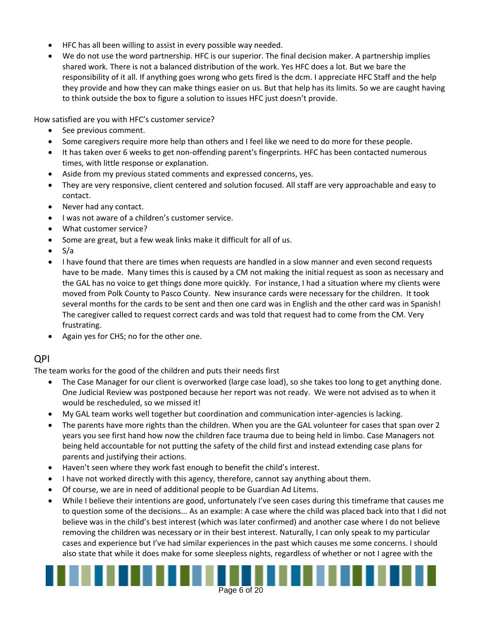- HFC has all been willing to assist in every possible way needed.
- We do not use the word partnership. HFC is our superior. The final decision maker. A partnership implies shared work. There is not a balanced distribution of the work. Yes HFC does a lot. But we bare the responsibility of it all. If anything goes wrong who gets fired is the dcm. I appreciate HFC Staff and the help they provide and how they can make things easier on us. But that help has its limits. So we are caught having to think outside the box to figure a solution to issues HFC just doesn't provide.

How satisfied are you with HFC's customer service?

- See previous comment.
- Some caregivers require more help than others and I feel like we need to do more for these people.
- It has taken over 6 weeks to get non-offending parent's fingerprints. HFC has been contacted numerous times, with little response or explanation.
- Aside from my previous stated comments and expressed concerns, yes.
- They are very responsive, client centered and solution focused. All staff are very approachable and easy to contact.
- Never had any contact.
- I was not aware of a children's customer service.
- What customer service?
- Some are great, but a few weak links make it difficult for all of us.
- $\bullet$  S/a
- I have found that there are times when requests are handled in a slow manner and even second requests have to be made. Many times this is caused by a CM not making the initial request as soon as necessary and the GAL has no voice to get things done more quickly. For instance, I had a situation where my clients were moved from Polk County to Pasco County. New insurance cards were necessary for the children. It took several months for the cards to be sent and then one card was in English and the other card was in Spanish! The caregiver called to request correct cards and was told that request had to come from the CM. Very frustrating.
- Again yes for CHS; no for the other one.

#### QPI

The team works for the good of the children and puts their needs first

- The Case Manager for our client is overworked (large case load), so she takes too long to get anything done. One Judicial Review was postponed because her report was not ready. We were not advised as to when it would be rescheduled, so we missed it!
- My GAL team works well together but coordination and communication inter-agencies is lacking.
- The parents have more rights than the children. When you are the GAL volunteer for cases that span over 2 years you see first hand how now the children face trauma due to being held in limbo. Case Managers not being held accountable for not putting the safety of the child first and instead extending case plans for parents and justifying their actions.
- Haven't seen where they work fast enough to benefit the child's interest.
- I have not worked directly with this agency, therefore, cannot say anything about them.
- Of course, we are in need of additional people to be Guardian Ad Litems.
- While I believe their intentions are good, unfortunately I've seen cases during this timeframe that causes me to question some of the decisions... As an example: A case where the child was placed back into that I did not believe was in the child's best interest (which was later confirmed) and another case where I do not believe removing the children was necessary or in their best interest. Naturally, I can only speak to my particular cases and experience but I've had similar experiences in the past which causes me some concerns. I should also state that while it does make for some sleepless nights, regardless of whether or not I agree with the

Page 6 of 20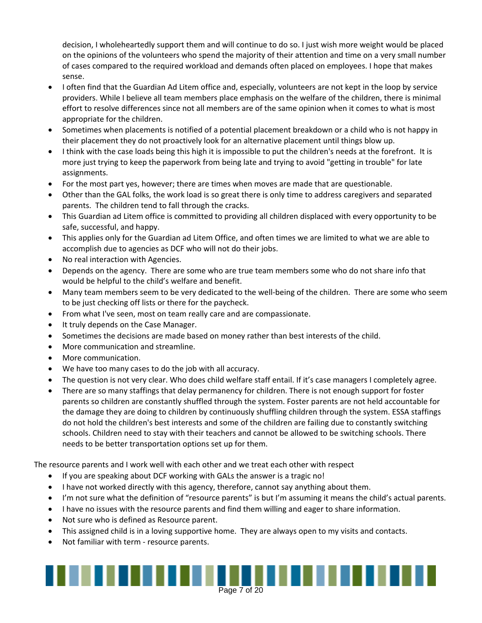decision, I wholeheartedly support them and will continue to do so. I just wish more weight would be placed on the opinions of the volunteers who spend the majority of their attention and time on a very small number of cases compared to the required workload and demands often placed on employees. I hope that makes sense.

- I often find that the Guardian Ad Litem office and, especially, volunteers are not kept in the loop by service providers. While I believe all team members place emphasis on the welfare of the children, there is minimal effort to resolve differences since not all members are of the same opinion when it comes to what is most appropriate for the children.
- Sometimes when placements is notified of a potential placement breakdown or a child who is not happy in their placement they do not proactively look for an alternative placement until things blow up.
- I think with the case loads being this high it is impossible to put the children's needs at the forefront. It is more just trying to keep the paperwork from being late and trying to avoid "getting in trouble" for late assignments.
- For the most part yes, however; there are times when moves are made that are questionable.
- Other than the GAL folks, the work load is so great there is only time to address caregivers and separated parents. The children tend to fall through the cracks.
- This Guardian ad Litem office is committed to providing all children displaced with every opportunity to be safe, successful, and happy.
- This applies only for the Guardian ad Litem Office, and often times we are limited to what we are able to accomplish due to agencies as DCF who will not do their jobs.
- No real interaction with Agencies.
- Depends on the agency. There are some who are true team members some who do not share info that would be helpful to the child's welfare and benefit.
- Many team members seem to be very dedicated to the well-being of the children. There are some who seem to be just checking off lists or there for the paycheck.
- From what I've seen, most on team really care and are compassionate.
- It truly depends on the Case Manager.
- Sometimes the decisions are made based on money rather than best interests of the child.
- More communication and streamline.
- More communication.
- We have too many cases to do the job with all accuracy.
- The question is not very clear. Who does child welfare staff entail. If it's case managers I completely agree.
- There are so many staffings that delay permanency for children. There is not enough support for foster parents so children are constantly shuffled through the system. Foster parents are not held accountable for the damage they are doing to children by continuously shuffling children through the system. ESSA staffings do not hold the children's best interests and some of the children are failing due to constantly switching schools. Children need to stay with their teachers and cannot be allowed to be switching schools. There needs to be better transportation options set up for them.

The resource parents and I work well with each other and we treat each other with respect

- If you are speaking about DCF working with GALs the answer is a tragic no!
- I have not worked directly with this agency, therefore, cannot say anything about them.
- I'm not sure what the definition of "resource parents" is but I'm assuming it means the child's actual parents.
- I have no issues with the resource parents and find them willing and eager to share information.
- Not sure who is defined as Resource parent.
- This assigned child is in a loving supportive home. They are always open to my visits and contacts.
- Not familiar with term resource parents.

## Page 7 of 20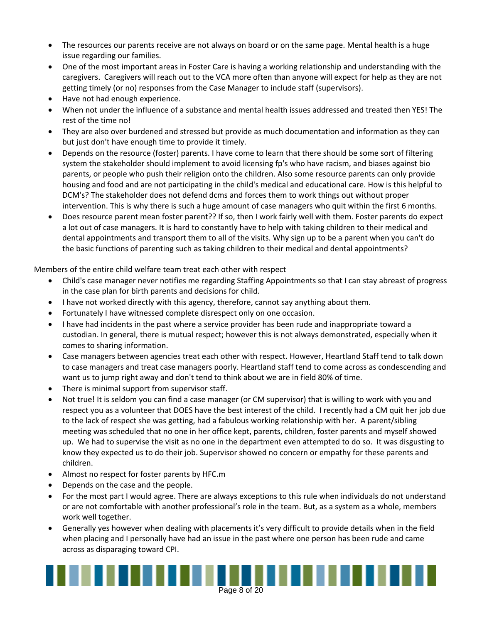- The resources our parents receive are not always on board or on the same page. Mental health is a huge issue regarding our families.
- One of the most important areas in Foster Care is having a working relationship and understanding with the caregivers. Caregivers will reach out to the VCA more often than anyone will expect for help as they are not getting timely (or no) responses from the Case Manager to include staff (supervisors).
- Have not had enough experience.
- When not under the influence of a substance and mental health issues addressed and treated then YES! The rest of the time no!
- They are also over burdened and stressed but provide as much documentation and information as they can but just don't have enough time to provide it timely.
- Depends on the resource (foster) parents. I have come to learn that there should be some sort of filtering system the stakeholder should implement to avoid licensing fp's who have racism, and biases against bio parents, or people who push their religion onto the children. Also some resource parents can only provide housing and food and are not participating in the child's medical and educational care. How is this helpful to DCM's? The stakeholder does not defend dcms and forces them to work things out without proper intervention. This is why there is such a huge amount of case managers who quit within the first 6 months.
- Does resource parent mean foster parent?? If so, then I work fairly well with them. Foster parents do expect a lot out of case managers. It is hard to constantly have to help with taking children to their medical and dental appointments and transport them to all of the visits. Why sign up to be a parent when you can't do the basic functions of parenting such as taking children to their medical and dental appointments?

Members of the entire child welfare team treat each other with respect

- Child's case manager never notifies me regarding Staffing Appointments so that I can stay abreast of progress in the case plan for birth parents and decisions for child.
- I have not worked directly with this agency, therefore, cannot say anything about them.
- Fortunately I have witnessed complete disrespect only on one occasion.
- I have had incidents in the past where a service provider has been rude and inappropriate toward a custodian. In general, there is mutual respect; however this is not always demonstrated, especially when it comes to sharing information.
- Case managers between agencies treat each other with respect. However, Heartland Staff tend to talk down to case managers and treat case managers poorly. Heartland staff tend to come across as condescending and want us to jump right away and don't tend to think about we are in field 80% of time.
- There is minimal support from supervisor staff.
- Not true! It is seldom you can find a case manager (or CM supervisor) that is willing to work with you and respect you as a volunteer that DOES have the best interest of the child. I recently had a CM quit her job due to the lack of respect she was getting, had a fabulous working relationship with her. A parent/sibling meeting was scheduled that no one in her office kept, parents, children, foster parents and myself showed up. We had to supervise the visit as no one in the department even attempted to do so. It was disgusting to know they expected us to do their job. Supervisor showed no concern or empathy for these parents and children.
- Almost no respect for foster parents by HFC.m
- Depends on the case and the people.
- For the most part I would agree. There are always exceptions to this rule when individuals do not understand or are not comfortable with another professional's role in the team. But, as a system as a whole, members work well together.
- Generally yes however when dealing with placements it's very difficult to provide details when in the field when placing and I personally have had an issue in the past where one person has been rude and came across as disparaging toward CPI.

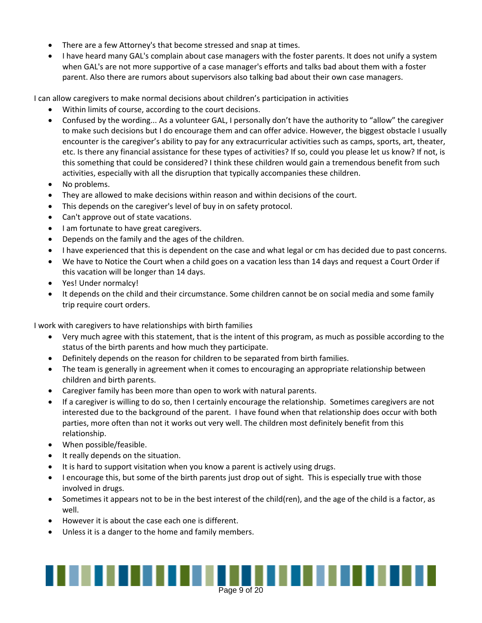- There are a few Attorney's that become stressed and snap at times.
- I have heard many GAL's complain about case managers with the foster parents. It does not unify a system when GAL's are not more supportive of a case manager's efforts and talks bad about them with a foster parent. Also there are rumors about supervisors also talking bad about their own case managers.

I can allow caregivers to make normal decisions about children's participation in activities

- Within limits of course, according to the court decisions.
- Confused by the wording... As a volunteer GAL, I personally don't have the authority to "allow" the caregiver to make such decisions but I do encourage them and can offer advice. However, the biggest obstacle I usually encounter is the caregiver's ability to pay for any extracurricular activities such as camps, sports, art, theater, etc. Is there any financial assistance for these types of activities? If so, could you please let us know? If not, is this something that could be considered? I think these children would gain a tremendous benefit from such activities, especially with all the disruption that typically accompanies these children.
- No problems.
- They are allowed to make decisions within reason and within decisions of the court.
- This depends on the caregiver's level of buy in on safety protocol.
- Can't approve out of state vacations.
- I am fortunate to have great caregivers.
- Depends on the family and the ages of the children.
- I have experienced that this is dependent on the case and what legal or cm has decided due to past concerns.
- We have to Notice the Court when a child goes on a vacation less than 14 days and request a Court Order if this vacation will be longer than 14 days.
- Yes! Under normalcy!
- It depends on the child and their circumstance. Some children cannot be on social media and some family trip require court orders.

I work with caregivers to have relationships with birth families

- Very much agree with this statement, that is the intent of this program, as much as possible according to the status of the birth parents and how much they participate.
- Definitely depends on the reason for children to be separated from birth families.
- The team is generally in agreement when it comes to encouraging an appropriate relationship between children and birth parents.
- Caregiver family has been more than open to work with natural parents.
- If a caregiver is willing to do so, then I certainly encourage the relationship. Sometimes caregivers are not interested due to the background of the parent. I have found when that relationship does occur with both parties, more often than not it works out very well. The children most definitely benefit from this relationship.
- When possible/feasible.
- It really depends on the situation.
- It is hard to support visitation when you know a parent is actively using drugs.
- I encourage this, but some of the birth parents just drop out of sight. This is especially true with those involved in drugs.
- Sometimes it appears not to be in the best interest of the child(ren), and the age of the child is a factor, as well.
- However it is about the case each one is different.
- Unless it is a danger to the home and family members.

## Page 9 of 20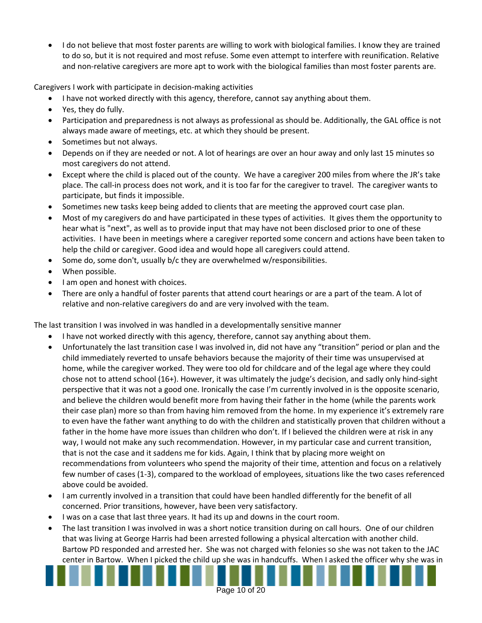I do not believe that most foster parents are willing to work with biological families. I know they are trained to do so, but it is not required and most refuse. Some even attempt to interfere with reunification. Relative and non-relative caregivers are more apt to work with the biological families than most foster parents are.

Caregivers I work with participate in decision-making activities

- I have not worked directly with this agency, therefore, cannot say anything about them.
- Yes, they do fully.
- Participation and preparedness is not always as professional as should be. Additionally, the GAL office is not always made aware of meetings, etc. at which they should be present.
- Sometimes but not always.
- Depends on if they are needed or not. A lot of hearings are over an hour away and only last 15 minutes so most caregivers do not attend.
- Except where the child is placed out of the county. We have a caregiver 200 miles from where the JR's take place. The call-in process does not work, and it is too far for the caregiver to travel. The caregiver wants to participate, but finds it impossible.
- Sometimes new tasks keep being added to clients that are meeting the approved court case plan.
- Most of my caregivers do and have participated in these types of activities. It gives them the opportunity to hear what is "next", as well as to provide input that may have not been disclosed prior to one of these activities. I have been in meetings where a caregiver reported some concern and actions have been taken to help the child or caregiver. Good idea and would hope all caregivers could attend.
- Some do, some don't, usually b/c they are overwhelmed w/responsibilities.
- When possible.
- I am open and honest with choices.
- There are only a handful of foster parents that attend court hearings or are a part of the team. A lot of relative and non-relative caregivers do and are very involved with the team.

The last transition I was involved in was handled in a developmentally sensitive manner

- I have not worked directly with this agency, therefore, cannot say anything about them.
- Unfortunately the last transition case I was involved in, did not have any "transition" period or plan and the child immediately reverted to unsafe behaviors because the majority of their time was unsupervised at home, while the caregiver worked. They were too old for childcare and of the legal age where they could chose not to attend school (16+). However, it was ultimately the judge's decision, and sadly only hind-sight perspective that it was not a good one. Ironically the case I'm currently involved in is the opposite scenario, and believe the children would benefit more from having their father in the home (while the parents work their case plan) more so than from having him removed from the home. In my experience it's extremely rare to even have the father want anything to do with the children and statistically proven that children without a father in the home have more issues than children who don't. If I believed the children were at risk in any way, I would not make any such recommendation. However, in my particular case and current transition, that is not the case and it saddens me for kids. Again, I think that by placing more weight on recommendations from volunteers who spend the majority of their time, attention and focus on a relatively few number of cases (1-3), compared to the workload of employees, situations like the two cases referenced above could be avoided.
- I am currently involved in a transition that could have been handled differently for the benefit of all concerned. Prior transitions, however, have been very satisfactory.
- I was on a case that last three years. It had its up and downs in the court room.
- The last transition I was involved in was a short notice transition during on call hours. One of our children that was living at George Harris had been arrested following a physical altercation with another child. Bartow PD responded and arrested her. She was not charged with felonies so she was not taken to the JAC center in Bartow. When I picked the child up she was in handcuffs. When I asked the officer why she was in

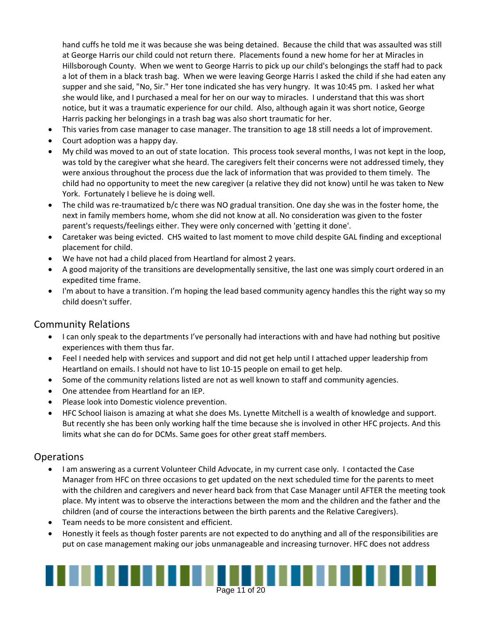hand cuffs he told me it was because she was being detained. Because the child that was assaulted was still at George Harris our child could not return there. Placements found a new home for her at Miracles in Hillsborough County. When we went to George Harris to pick up our child's belongings the staff had to pack a lot of them in a black trash bag. When we were leaving George Harris I asked the child if she had eaten any supper and she said, "No, Sir." Her tone indicated she has very hungry. It was 10:45 pm. I asked her what she would like, and I purchased a meal for her on our way to miracles. I understand that this was short notice, but it was a traumatic experience for our child. Also, although again it was short notice, George Harris packing her belongings in a trash bag was also short traumatic for her.

- This varies from case manager to case manager. The transition to age 18 still needs a lot of improvement.
- Court adoption was a happy day.
- My child was moved to an out of state location. This process took several months, I was not kept in the loop, was told by the caregiver what she heard. The caregivers felt their concerns were not addressed timely, they were anxious throughout the process due the lack of information that was provided to them timely. The child had no opportunity to meet the new caregiver (a relative they did not know) until he was taken to New York. Fortunately I believe he is doing well.
- The child was re-traumatized b/c there was NO gradual transition. One day she was in the foster home, the next in family members home, whom she did not know at all. No consideration was given to the foster parent's requests/feelings either. They were only concerned with 'getting it done'.
- Caretaker was being evicted. CHS waited to last moment to move child despite GAL finding and exceptional placement for child.
- We have not had a child placed from Heartland for almost 2 years.
- A good majority of the transitions are developmentally sensitive, the last one was simply court ordered in an expedited time frame.
- I'm about to have a transition. I'm hoping the lead based community agency handles this the right way so my child doesn't suffer.

#### Community Relations

- I can only speak to the departments I've personally had interactions with and have had nothing but positive experiences with them thus far.
- Feel I needed help with services and support and did not get help until I attached upper leadership from Heartland on emails. I should not have to list 10-15 people on email to get help.
- Some of the community relations listed are not as well known to staff and community agencies.
- One attendee from Heartland for an IEP.
- Please look into Domestic violence prevention.
- HFC School liaison is amazing at what she does Ms. Lynette Mitchell is a wealth of knowledge and support. But recently she has been only working half the time because she is involved in other HFC projects. And this limits what she can do for DCMs. Same goes for other great staff members.

#### **Operations**

- I am answering as a current Volunteer Child Advocate, in my current case only. I contacted the Case Manager from HFC on three occasions to get updated on the next scheduled time for the parents to meet with the children and caregivers and never heard back from that Case Manager until AFTER the meeting took place. My intent was to observe the interactions between the mom and the children and the father and the children (and of course the interactions between the birth parents and the Relative Caregivers).
- Team needs to be more consistent and efficient.
- Honestly it feels as though foster parents are not expected to do anything and all of the responsibilities are put on case management making our jobs unmanageable and increasing turnover. HFC does not address

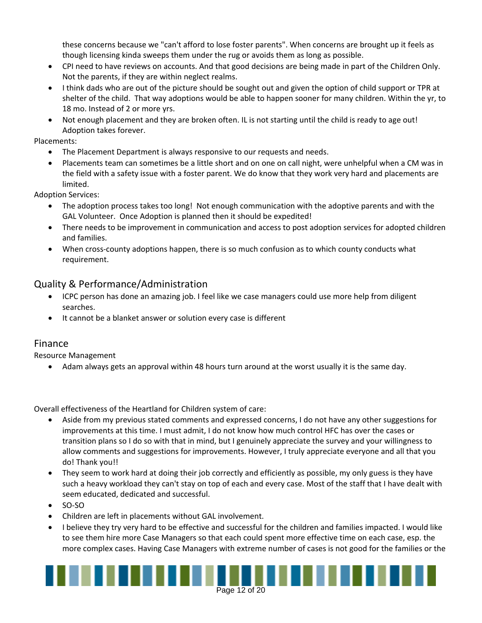these concerns because we "can't afford to lose foster parents". When concerns are brought up it feels as though licensing kinda sweeps them under the rug or avoids them as long as possible.

- CPI need to have reviews on accounts. And that good decisions are being made in part of the Children Only. Not the parents, if they are within neglect realms.
- I think dads who are out of the picture should be sought out and given the option of child support or TPR at shelter of the child. That way adoptions would be able to happen sooner for many children. Within the yr, to 18 mo. Instead of 2 or more yrs.
- Not enough placement and they are broken often. IL is not starting until the child is ready to age out! Adoption takes forever.

Placements:

- The Placement Department is always responsive to our requests and needs.
- Placements team can sometimes be a little short and on one on call night, were unhelpful when a CM was in the field with a safety issue with a foster parent. We do know that they work very hard and placements are limited.

Adoption Services:

- The adoption process takes too long! Not enough communication with the adoptive parents and with the GAL Volunteer. Once Adoption is planned then it should be expedited!
- There needs to be improvement in communication and access to post adoption services for adopted children and families.
- When cross-county adoptions happen, there is so much confusion as to which county conducts what requirement.

#### Quality & Performance/Administration

- ICPC person has done an amazing job. I feel like we case managers could use more help from diligent searches.
- It cannot be a blanket answer or solution every case is different

#### Finance

Resource Management

Adam always gets an approval within 48 hours turn around at the worst usually it is the same day.

Overall effectiveness of the Heartland for Children system of care:

- Aside from my previous stated comments and expressed concerns, I do not have any other suggestions for improvements at this time. I must admit, I do not know how much control HFC has over the cases or transition plans so I do so with that in mind, but I genuinely appreciate the survey and your willingness to allow comments and suggestions for improvements. However, I truly appreciate everyone and all that you do! Thank you!!
- They seem to work hard at doing their job correctly and efficiently as possible, my only guess is they have such a heavy workload they can't stay on top of each and every case. Most of the staff that I have dealt with seem educated, dedicated and successful.
- $\bullet$  SO-SO
- Children are left in placements without GAL involvement.
- I believe they try very hard to be effective and successful for the children and families impacted. I would like to see them hire more Case Managers so that each could spent more effective time on each case, esp. the more complex cases. Having Case Managers with extreme number of cases is not good for the families or the



Page 12 of 20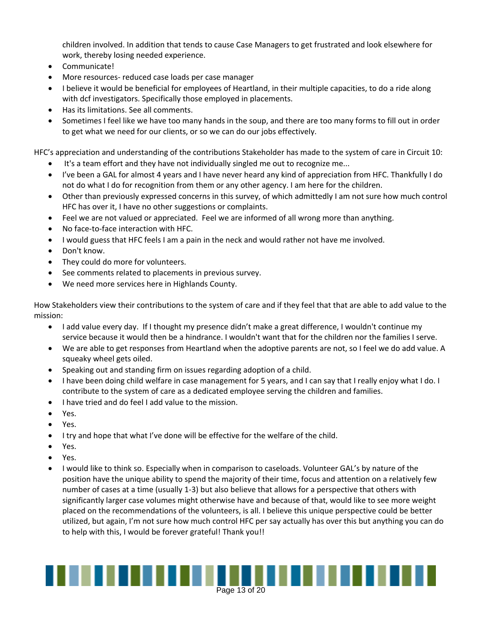children involved. In addition that tends to cause Case Managers to get frustrated and look elsewhere for work, thereby losing needed experience.

- Communicate!
- More resources- reduced case loads per case manager
- I believe it would be beneficial for employees of Heartland, in their multiple capacities, to do a ride along with dcf investigators. Specifically those employed in placements.
- Has its limitations. See all comments.
- Sometimes I feel like we have too many hands in the soup, and there are too many forms to fill out in order to get what we need for our clients, or so we can do our jobs effectively.

HFC's appreciation and understanding of the contributions Stakeholder has made to the system of care in Circuit 10:

- It's a team effort and they have not individually singled me out to recognize me...
- I've been a GAL for almost 4 years and I have never heard any kind of appreciation from HFC. Thankfully I do not do what I do for recognition from them or any other agency. I am here for the children.
- Other than previously expressed concerns in this survey, of which admittedly I am not sure how much control HFC has over it, I have no other suggestions or complaints.
- Feel we are not valued or appreciated. Feel we are informed of all wrong more than anything.
- No face-to-face interaction with HFC.
- I would guess that HFC feels I am a pain in the neck and would rather not have me involved.
- Don't know.
- They could do more for volunteers.
- See comments related to placements in previous survey.
- We need more services here in Highlands County.

How Stakeholders view their contributions to the system of care and if they feel that that are able to add value to the mission:

- I add value every day. If I thought my presence didn't make a great difference, I wouldn't continue my service because it would then be a hindrance. I wouldn't want that for the children nor the families I serve.
- We are able to get responses from Heartland when the adoptive parents are not, so I feel we do add value. A squeaky wheel gets oiled.
- Speaking out and standing firm on issues regarding adoption of a child.
- I have been doing child welfare in case management for 5 years, and I can say that I really enjoy what I do. I contribute to the system of care as a dedicated employee serving the children and families.
- I have tried and do feel I add value to the mission.
- Yes.
- Yes.
- I try and hope that what I've done will be effective for the welfare of the child.
- Yes.
- Yes.
- I would like to think so. Especially when in comparison to caseloads. Volunteer GAL's by nature of the position have the unique ability to spend the majority of their time, focus and attention on a relatively few number of cases at a time (usually 1-3) but also believe that allows for a perspective that others with significantly larger case volumes might otherwise have and because of that, would like to see more weight placed on the recommendations of the volunteers, is all. I believe this unique perspective could be better utilized, but again, I'm not sure how much control HFC per say actually has over this but anything you can do to help with this, I would be forever grateful! Thank you!!

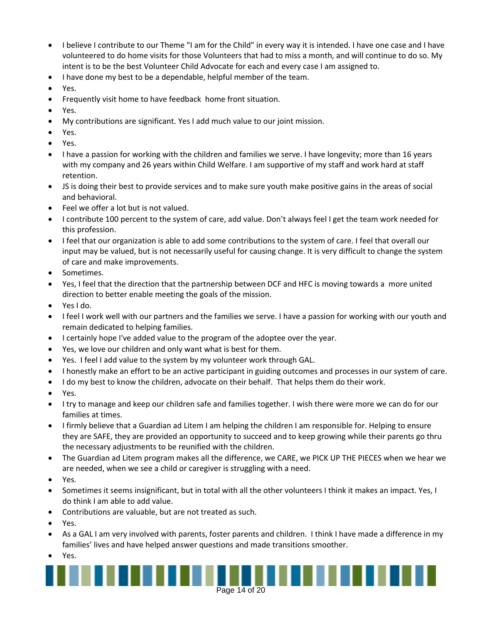- I believe I contribute to our Theme "I am for the Child" in every way it is intended. I have one case and I have volunteered to do home visits for those Volunteers that had to miss a month, and will continue to do so. My intent is to be the best Volunteer Child Advocate for each and every case I am assigned to.
- I have done my best to be a dependable, helpful member of the team.
- Yes.
- Frequently visit home to have feedback home front situation.
- Yes.
- My contributions are significant. Yes I add much value to our joint mission.
- Yes.
- Yes.
- I have a passion for working with the children and families we serve. I have longevity; more than 16 years with my company and 26 years within Child Welfare. I am supportive of my staff and work hard at staff retention.
- JS is doing their best to provide services and to make sure youth make positive gains in the areas of social and behavioral.
- Feel we offer a lot but is not valued.
- I contribute 100 percent to the system of care, add value. Don't always feel I get the team work needed for this profession.
- I feel that our organization is able to add some contributions to the system of care. I feel that overall our input may be valued, but is not necessarily useful for causing change. It is very difficult to change the system of care and make improvements.
- Sometimes.
- Yes, I feel that the direction that the partnership between DCF and HFC is moving towards a more united direction to better enable meeting the goals of the mission.
- Yes I do.
- I feel I work well with our partners and the families we serve. I have a passion for working with our youth and remain dedicated to helping families.
- I certainly hope I've added value to the program of the adoptee over the year.
- Yes, we love our children and only want what is best for them.
- Yes. I feel I add value to the system by my volunteer work through GAL.
- I honestly make an effort to be an active participant in guiding outcomes and processes in our system of care.
- I do my best to know the children, advocate on their behalf. That helps them do their work.
- Yes.
- I try to manage and keep our children safe and families together. I wish there were more we can do for our families at times.
- I firmly believe that a Guardian ad Litem I am helping the children I am responsible for. Helping to ensure they are SAFE, they are provided an opportunity to succeed and to keep growing while their parents go thru the necessary adjustments to be reunified with the children.
- The Guardian ad Litem program makes all the difference, we CARE, we PICK UP THE PIECES when we hear we are needed, when we see a child or caregiver is struggling with a need.
- Yes.
- Sometimes it seems insignificant, but in total with all the other volunteers I think it makes an impact. Yes, I do think I am able to add value.
- Contributions are valuable, but are not treated as such.
- Yes.
- As a GAL I am very involved with parents, foster parents and children. I think I have made a difference in my families' lives and have helped answer questions and made transitions smoother.
- Yes.

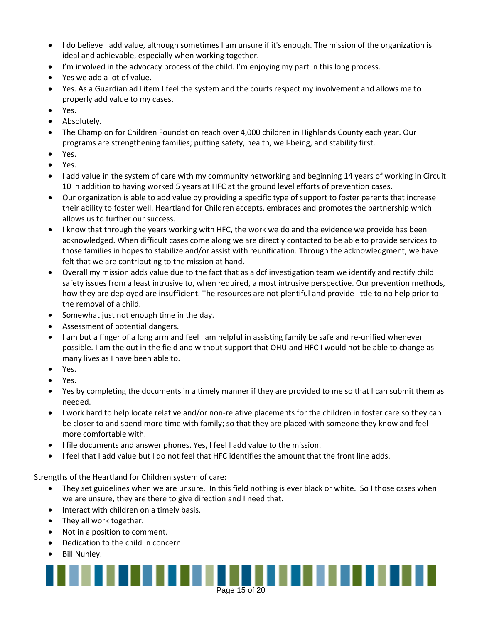- I do believe I add value, although sometimes I am unsure if it's enough. The mission of the organization is ideal and achievable, especially when working together.
- I'm involved in the advocacy process of the child. I'm enjoying my part in this long process.
- Yes we add a lot of value.
- Yes. As a Guardian ad Litem I feel the system and the courts respect my involvement and allows me to properly add value to my cases.
- Yes.
- Absolutely.
- The Champion for Children Foundation reach over 4,000 children in Highlands County each year. Our programs are strengthening families; putting safety, health, well-being, and stability first.
- Yes.
- Yes.
- I add value in the system of care with my community networking and beginning 14 years of working in Circuit 10 in addition to having worked 5 years at HFC at the ground level efforts of prevention cases.
- Our organization is able to add value by providing a specific type of support to foster parents that increase their ability to foster well. Heartland for Children accepts, embraces and promotes the partnership which allows us to further our success.
- I know that through the years working with HFC, the work we do and the evidence we provide has been acknowledged. When difficult cases come along we are directly contacted to be able to provide services to those families in hopes to stabilize and/or assist with reunification. Through the acknowledgment, we have felt that we are contributing to the mission at hand.
- Overall my mission adds value due to the fact that as a dcf investigation team we identify and rectify child safety issues from a least intrusive to, when required, a most intrusive perspective. Our prevention methods, how they are deployed are insufficient. The resources are not plentiful and provide little to no help prior to the removal of a child.
- Somewhat just not enough time in the day.
- Assessment of potential dangers.
- I am but a finger of a long arm and feel I am helpful in assisting family be safe and re-unified whenever possible. I am the out in the field and without support that OHU and HFC I would not be able to change as many lives as I have been able to.
- Yes.
- Yes.
- Yes by completing the documents in a timely manner if they are provided to me so that I can submit them as needed.
- I work hard to help locate relative and/or non-relative placements for the children in foster care so they can be closer to and spend more time with family; so that they are placed with someone they know and feel more comfortable with.
- I file documents and answer phones. Yes, I feel I add value to the mission.
- I feel that I add value but I do not feel that HFC identifies the amount that the front line adds.

Page 15 of 20<br>Page 15 of 20

Strengths of the Heartland for Children system of care:

- They set guidelines when we are unsure. In this field nothing is ever black or white. So I those cases when we are unsure, they are there to give direction and I need that.
- Interact with children on a timely basis.
- They all work together.
- Not in a position to comment.
- Dedication to the child in concern.
- Bill Nunley.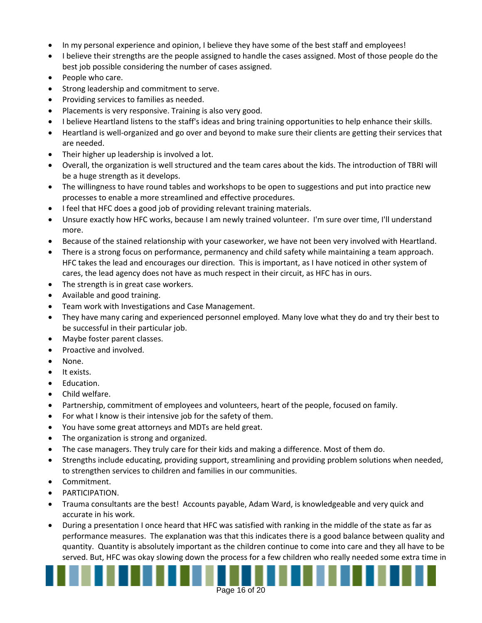- In my personal experience and opinion, I believe they have some of the best staff and employees!
- I believe their strengths are the people assigned to handle the cases assigned. Most of those people do the best job possible considering the number of cases assigned.
- People who care.
- Strong leadership and commitment to serve.
- Providing services to families as needed.
- Placements is very responsive. Training is also very good.
- I believe Heartland listens to the staff's ideas and bring training opportunities to help enhance their skills.
- Heartland is well-organized and go over and beyond to make sure their clients are getting their services that are needed.
- Their higher up leadership is involved a lot.
- Overall, the organization is well structured and the team cares about the kids. The introduction of TBRI will be a huge strength as it develops.
- The willingness to have round tables and workshops to be open to suggestions and put into practice new processes to enable a more streamlined and effective procedures.
- I feel that HFC does a good job of providing relevant training materials.
- Unsure exactly how HFC works, because I am newly trained volunteer. I'm sure over time, I'll understand more.
- Because of the stained relationship with your caseworker, we have not been very involved with Heartland.
- There is a strong focus on performance, permanency and child safety while maintaining a team approach. HFC takes the lead and encourages our direction. This is important, as I have noticed in other system of cares, the lead agency does not have as much respect in their circuit, as HFC has in ours.
- The strength is in great case workers.
- Available and good training.
- **•** Team work with Investigations and Case Management.
- They have many caring and experienced personnel employed. Many love what they do and try their best to be successful in their particular job.
- Maybe foster parent classes.
- Proactive and involved.
- None.
- It exists.
- Education.
- Child welfare.
- Partnership, commitment of employees and volunteers, heart of the people, focused on family.
- For what I know is their intensive job for the safety of them.
- You have some great attorneys and MDTs are held great.
- The organization is strong and organized.
- The case managers. They truly care for their kids and making a difference. Most of them do.
- Strengths include educating, providing support, streamlining and providing problem solutions when needed, to strengthen services to children and families in our communities.
- Commitment.
- **•** PARTICIPATION.
- Trauma consultants are the best! Accounts payable, Adam Ward, is knowledgeable and very quick and accurate in his work.
- During a presentation I once heard that HFC was satisfied with ranking in the middle of the state as far as performance measures. The explanation was that this indicates there is a good balance between quality and quantity. Quantity is absolutely important as the children continue to come into care and they all have to be served. But, HFC was okay slowing down the process for a few children who really needed some extra time in

Page 16 of 20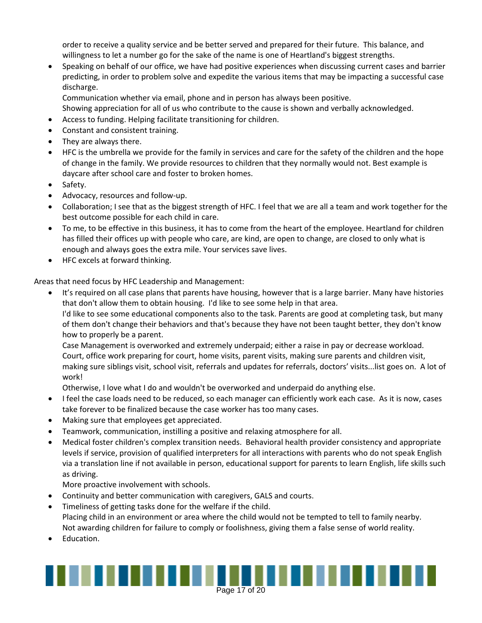order to receive a quality service and be better served and prepared for their future. This balance, and willingness to let a number go for the sake of the name is one of Heartland's biggest strengths.

 Speaking on behalf of our office, we have had positive experiences when discussing current cases and barrier predicting, in order to problem solve and expedite the various items that may be impacting a successful case discharge.

Communication whether via email, phone and in person has always been positive.

Showing appreciation for all of us who contribute to the cause is shown and verbally acknowledged.

- Access to funding. Helping facilitate transitioning for children.
- Constant and consistent training.
- They are always there.
- HFC is the umbrella we provide for the family in services and care for the safety of the children and the hope of change in the family. We provide resources to children that they normally would not. Best example is daycare after school care and foster to broken homes.
- Safety.
- Advocacy, resources and follow-up.
- Collaboration; I see that as the biggest strength of HFC. I feel that we are all a team and work together for the best outcome possible for each child in care.
- To me, to be effective in this business, it has to come from the heart of the employee. Heartland for children has filled their offices up with people who care, are kind, are open to change, are closed to only what is enough and always goes the extra mile. Your services save lives.
- HFC excels at forward thinking.

Areas that need focus by HFC Leadership and Management:

 It's required on all case plans that parents have housing, however that is a large barrier. Many have histories that don't allow them to obtain housing. I'd like to see some help in that area. I'd like to see some educational components also to the task. Parents are good at completing task, but many

of them don't change their behaviors and that's because they have not been taught better, they don't know how to properly be a parent.

Case Management is overworked and extremely underpaid; either a raise in pay or decrease workload. Court, office work preparing for court, home visits, parent visits, making sure parents and children visit, making sure siblings visit, school visit, referrals and updates for referrals, doctors' visits...list goes on. A lot of work!

Otherwise, I love what I do and wouldn't be overworked and underpaid do anything else.

- I feel the case loads need to be reduced, so each manager can efficiently work each case. As it is now, cases take forever to be finalized because the case worker has too many cases.
- Making sure that employees get appreciated.
- Teamwork, communication, instilling a positive and relaxing atmosphere for all.
- Medical foster children's complex transition needs. Behavioral health provider consistency and appropriate levels if service, provision of qualified interpreters for all interactions with parents who do not speak English via a translation line if not available in person, educational support for parents to learn English, life skills such as driving.

More proactive involvement with schools.

- Continuity and better communication with caregivers, GALS and courts.
- Timeliness of getting tasks done for the welfare if the child. Placing child in an environment or area where the child would not be tempted to tell to family nearby. Not awarding children for failure to comply or foolishness, giving them a false sense of world reality.
- Education.

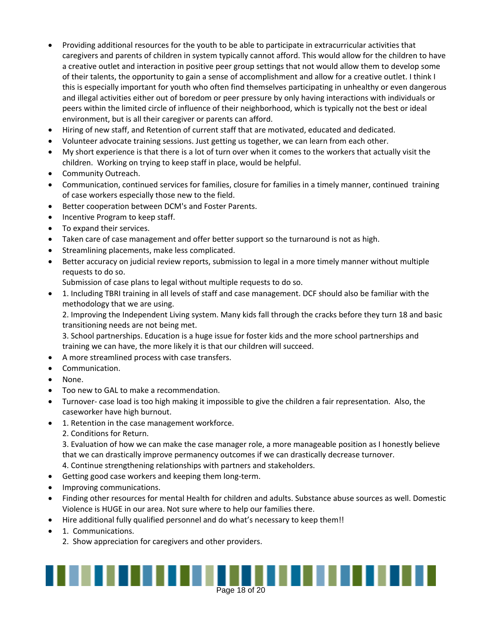- Providing additional resources for the youth to be able to participate in extracurricular activities that caregivers and parents of children in system typically cannot afford. This would allow for the children to have a creative outlet and interaction in positive peer group settings that not would allow them to develop some of their talents, the opportunity to gain a sense of accomplishment and allow for a creative outlet. I think I this is especially important for youth who often find themselves participating in unhealthy or even dangerous and illegal activities either out of boredom or peer pressure by only having interactions with individuals or peers within the limited circle of influence of their neighborhood, which is typically not the best or ideal environment, but is all their caregiver or parents can afford.
- Hiring of new staff, and Retention of current staff that are motivated, educated and dedicated.
- Volunteer advocate training sessions. Just getting us together, we can learn from each other.
- My short experience is that there is a lot of turn over when it comes to the workers that actually visit the children. Working on trying to keep staff in place, would be helpful.
- Community Outreach.
- Communication, continued services for families, closure for families in a timely manner, continued training of case workers especially those new to the field.
- Better cooperation between DCM's and Foster Parents.
- Incentive Program to keep staff.
- To expand their services.
- Taken care of case management and offer better support so the turnaround is not as high.
- **•** Streamlining placements, make less complicated.
- Better accuracy on judicial review reports, submission to legal in a more timely manner without multiple requests to do so.

Submission of case plans to legal without multiple requests to do so.

 1. Including TBRI training in all levels of staff and case management. DCF should also be familiar with the methodology that we are using.

2. Improving the Independent Living system. Many kids fall through the cracks before they turn 18 and basic transitioning needs are not being met.

3. School partnerships. Education is a huge issue for foster kids and the more school partnerships and training we can have, the more likely it is that our children will succeed.

- A more streamlined process with case transfers.
- Communication.
- None.
- Too new to GAL to make a recommendation.
- Turnover- case load is too high making it impossible to give the children a fair representation. Also, the caseworker have high burnout.
- 1. Retention in the case management workforce.
	- 2. Conditions for Return.

3. Evaluation of how we can make the case manager role, a more manageable position as I honestly believe that we can drastically improve permanency outcomes if we can drastically decrease turnover.

- 4. Continue strengthening relationships with partners and stakeholders.
- Getting good case workers and keeping them long-term.
- Improving communications.
- Finding other resources for mental Health for children and adults. Substance abuse sources as well. Domestic Violence is HUGE in our area. Not sure where to help our families there.
- Hire additional fully qualified personnel and do what's necessary to keep them!!
- 1. Communications.
	- 2. Show appreciation for caregivers and other providers.

# Page 18 of 20 and 20 and 20 and 20 and 20 and 20 and 20 and 20 and 20 and 20 and 20 and 20 and 20 and 20 and 2<br>Page 18 of 20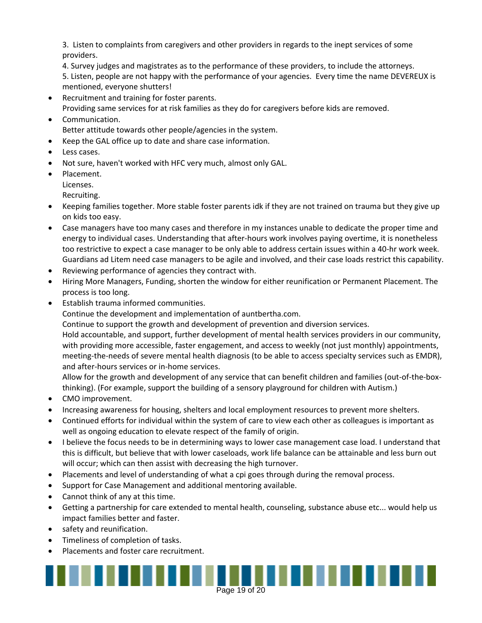3. Listen to complaints from caregivers and other providers in regards to the inept services of some providers.

4. Survey judges and magistrates as to the performance of these providers, to include the attorneys.

5. Listen, people are not happy with the performance of your agencies. Every time the name DEVEREUX is mentioned, everyone shutters!

- Recruitment and training for foster parents. Providing same services for at risk families as they do for caregivers before kids are removed.
- Communication. Better attitude towards other people/agencies in the system.
- Keep the GAL office up to date and share case information.
- Less cases.
- Not sure, haven't worked with HFC very much, almost only GAL.
- Placement.

Licenses.

Recruiting.

- Keeping families together. More stable foster parents idk if they are not trained on trauma but they give up on kids too easy.
- Case managers have too many cases and therefore in my instances unable to dedicate the proper time and energy to individual cases. Understanding that after-hours work involves paying overtime, it is nonetheless too restrictive to expect a case manager to be only able to address certain issues within a 40-hr work week. Guardians ad Litem need case managers to be agile and involved, and their case loads restrict this capability.
- Reviewing performance of agencies they contract with.
- Hiring More Managers, Funding, shorten the window for either reunification or Permanent Placement. The process is too long.
- Establish trauma informed communities.

Continue the development and implementation of auntbertha.com.

Continue to support the growth and development of prevention and diversion services.

Hold accountable, and support, further development of mental health services providers in our community, with providing more accessible, faster engagement, and access to weekly (not just monthly) appointments, meeting-the-needs of severe mental health diagnosis (to be able to access specialty services such as EMDR), and after-hours services or in-home services.

Allow for the growth and development of any service that can benefit children and families (out-of-the-boxthinking). (For example, support the building of a sensory playground for children with Autism.)

- CMO improvement.
- Increasing awareness for housing, shelters and local employment resources to prevent more shelters.
- Continued efforts for individual within the system of care to view each other as colleagues is important as well as ongoing education to elevate respect of the family of origin.
- I believe the focus needs to be in determining ways to lower case management case load. I understand that this is difficult, but believe that with lower caseloads, work life balance can be attainable and less burn out will occur; which can then assist with decreasing the high turnover.
- Placements and level of understanding of what a cpi goes through during the removal process.
- Support for Case Management and additional mentoring available.
- Cannot think of any at this time.
- Getting a partnership for care extended to mental health, counseling, substance abuse etc... would help us impact families better and faster.
- safety and reunification.
- Timeliness of completion of tasks.
- Placements and foster care recruitment.

Page 19 of 20 and 20 and 20 and 20 and 20 and 20 and 20 and 20 and 20 and 20 and 20 and 20 and 20 and 20 and 2<br>Page 19 of 20